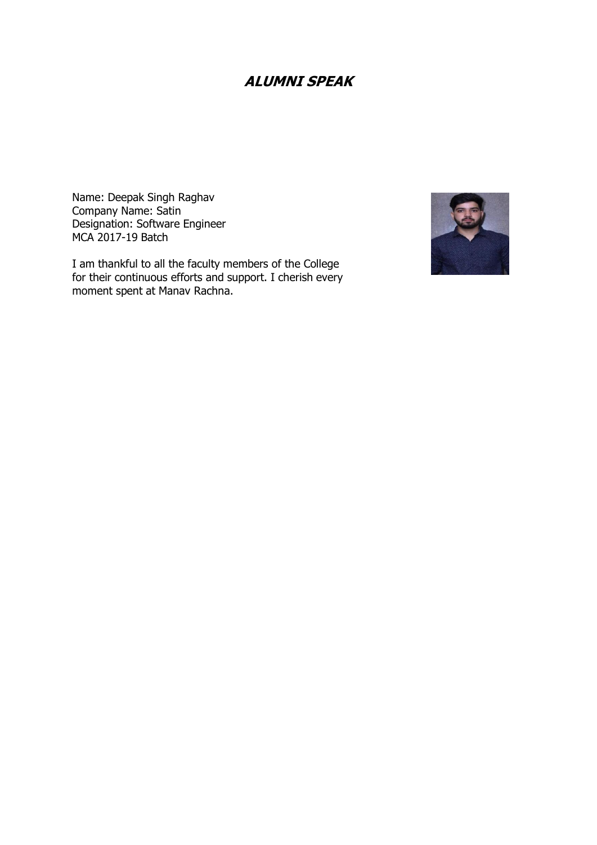## **ALUMNI SPEAK**

Name: Deepak Singh Raghav Company Name: Satin Designation: Software Engineer MCA 2017-19 Batch

I am thankful to all the faculty members of the College for their continuous efforts and support. I cherish every moment spent at Manav Rachna.

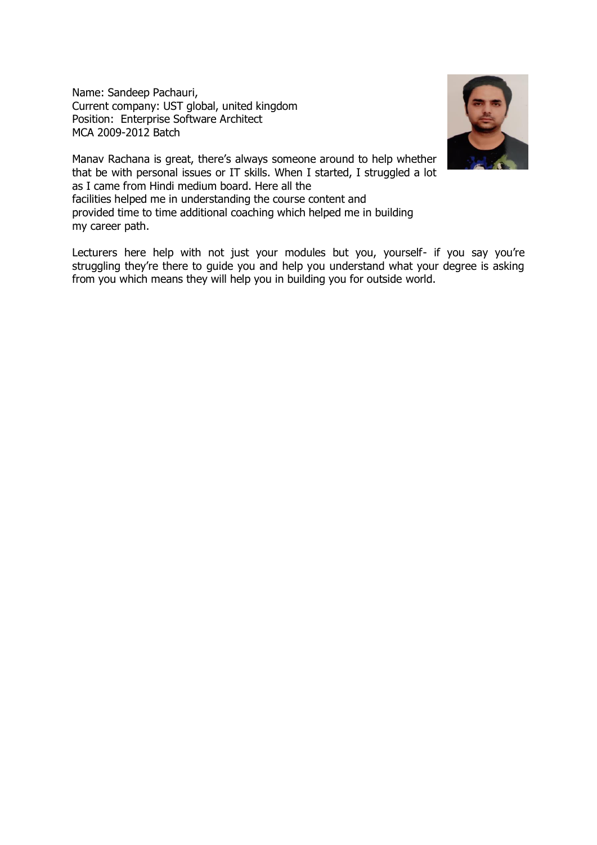Name: Sandeep Pachauri, Current company: UST global, united kingdom Position: Enterprise Software Architect MCA 2009-2012 Batch



Manav Rachana is great, there's always someone around to help whether that be with personal issues or IT skills. When I started, I struggled a lot as I came from Hindi medium board. Here all the facilities helped me in understanding the course content and provided time to time additional coaching which helped me in building my career path.

Lecturers here help with not just your modules but you, yourself- if you say you're struggling they're there to guide you and help you understand what your degree is asking from you which means they will help you in building you for outside world.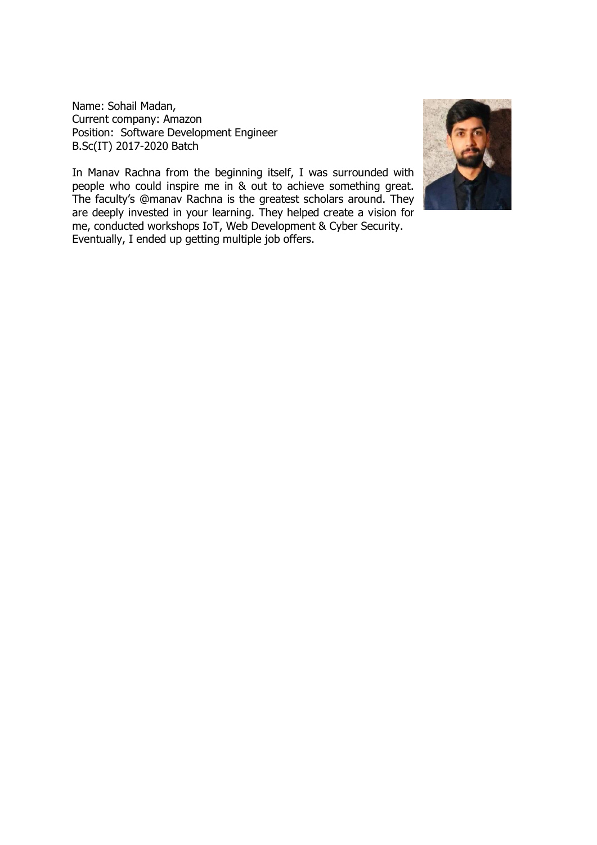Name: Sohail Madan, Current company: Amazon Position: Software Development Engineer B.Sc(IT) 2017-2020 Batch

In Manav Rachna from the beginning itself, I was surrounded with people who could inspire me in & out to achieve something great. The faculty's @manav Rachna is the greatest scholars around. They are deeply invested in your learning. They helped create a vision for me, conducted workshops IoT, Web Development & Cyber Security. Eventually, I ended up getting multiple job offers.